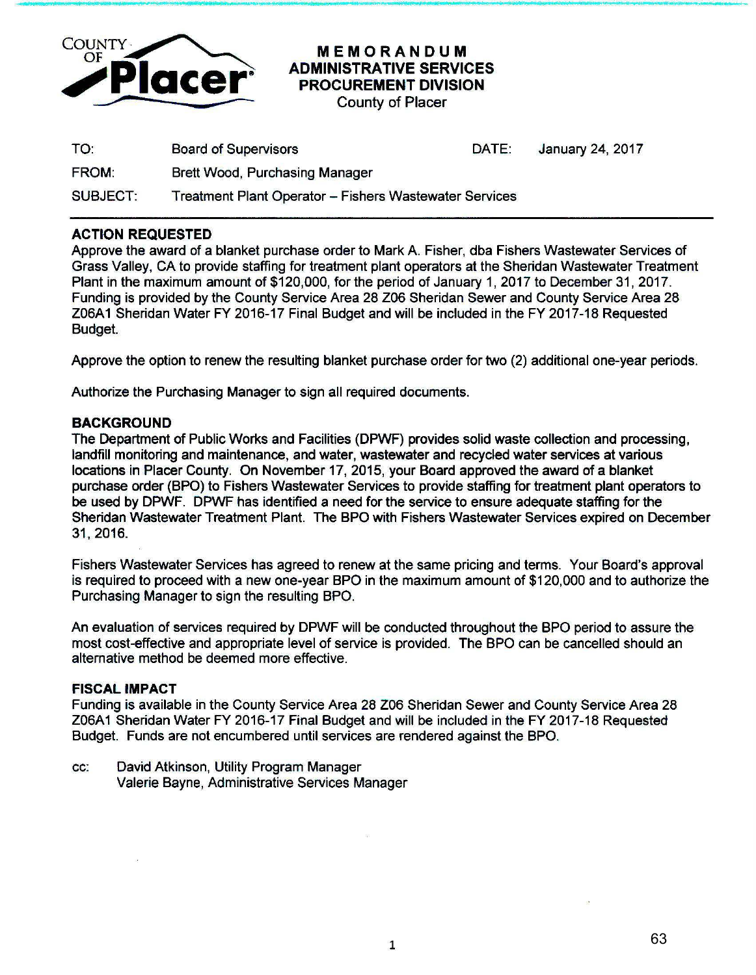

**8 I - I t** *44.* ,. \ •'\*L: b ...... ,,- **<sup>F</sup>**..... ....,.,. **"9 J t)q 11M:** ; I • &

## MEMORANDUM ADMINISTRATIVE SERVICES PROCUREMENT DIVISION

County of Placer

| TO:             | <b>Board of Supervisors</b>                            | DATE: | January 24, 2017 |
|-----------------|--------------------------------------------------------|-------|------------------|
| <b>FROM:</b>    | <b>Brett Wood, Purchasing Manager</b>                  |       |                  |
| <b>SUBJECT:</b> | Treatment Plant Operator - Fishers Wastewater Services |       |                  |

## ACTION REQUESTED

Approve the award of a blanket purchase order to Mark A. Fisher, dba Fishers Wastewater Services of Grass Valley, CA to provide staffing for treatment plant operators at the Sheridan Wastewater Treatment Plant in the maximum amount of \$120,000, for the period of January 1, 2017 to December 31, 2017. Funding is provided by the County Service Area 28 Z06 Sheridan Sewer and County Service Area 28 Z06A1 Sheridan Water FY 2016-17 Final Budget and will be included in the FY 2017-18 Requested Budget.

Approve the option to renew the resulting blanket purchase order for two (2) additional one-year periods.

Authorize the Purchasing Manager to sign all required documents.

## BACKGROUND

The Department of Public Works and Facilities (DPWF) provides solid waste collection and processing, landfill monitoring and maintenance, and water, wastewater and recycled water services at various locations in Placer County. On November 17, 2015, your Board approved the award of a blanket purchase order (BPO) to Fishers Wastewater Services to provide staffing for treatment plant operators to be used by DPWF. DPWF has identified a need for the service to ensure adequate staffing for the Sheridan Wastewater Treatment Plant. The BPO with Fishers Wastewater Services expired on December 31, 2016.

Fishers Wastewater Services has agreed to renew at the same pricing and terms. Your Board's approval is required to proceed with a new one-year BPO in the maximum amount of \$120,000 and to authorize the Purchasing Manager to sign the resulting BPO.

An evaluation of services required by DPWF will be conducted throughout the BPO period to assure the most cost-effective and appropriate level of service is provided. The BPO can be cancelled should an alternative method be deemed more effective.

## FISCAL IMPACT

Funding is available in the County Service Area 28 Z06 Sheridan Sewer and County Service Area 28 Z06A1 Sheridan Water FY 2016-17 Final Budget and will be included in the FY 2017-18 Requested Budget. Funds are not encumbered until services are rendered against the BPO.

cc: David Atkinson, Utility Program Manager Valerie Bayne, Administrative Services Manager